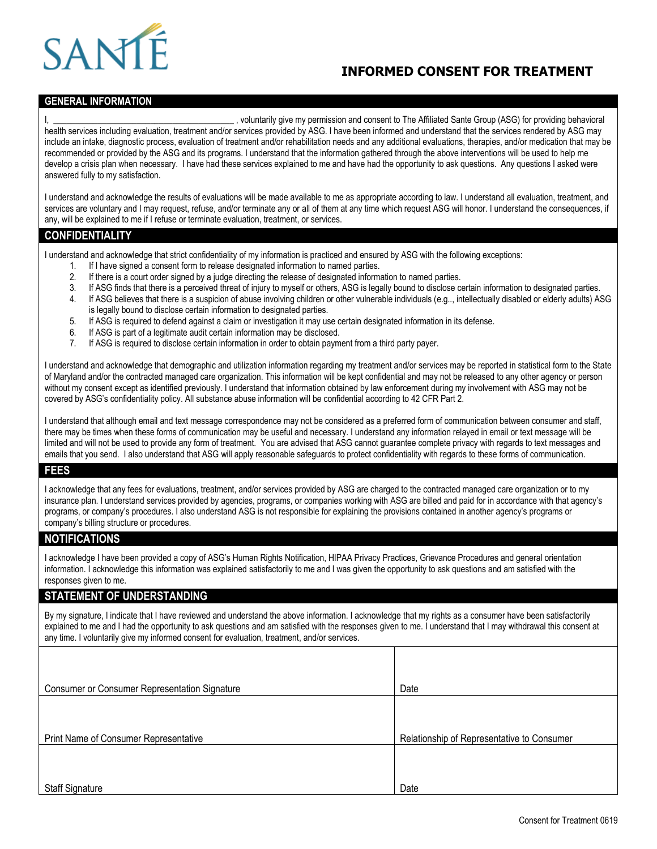### **INFORMED CONSENT FOR TREATMENT**



#### **GENERAL INFORMATION**

I, the Affiliated Sante Group (ASG) for providing behavioral systems of the Affiliated Sante Group (ASG) for providing behavioral health services including evaluation, treatment and/or services provided by ASG. I have been informed and understand that the services rendered by ASG may include an intake, diagnostic process, evaluation of treatment and/or rehabilitation needs and any additional evaluations, therapies, and/or medication that may be recommended or provided by the ASG and its programs. I understand that the information gathered through the above interventions will be used to help me develop a crisis plan when necessary. I have had these services explained to me and have had the opportunity to ask questions. Any questions I asked were answered fully to my satisfaction.

I understand and acknowledge the results of evaluations will be made available to me as appropriate according to law. I understand all evaluation, treatment, and services are voluntary and I may request, refuse, and/or terminate any or all of them at any time which request ASG will honor. I understand the consequences, if any, will be explained to me if I refuse or terminate evaluation, treatment, or services.

#### **CONFIDENTIALITY**

I understand and acknowledge that strict confidentiality of my information is practiced and ensured by ASG with the following exceptions:

- 1. If I have signed a consent form to release designated information to named parties.
- 2. If there is a court order signed by a judge directing the release of designated information to named parties.
- 3. If ASG finds that there is a perceived threat of injury to myself or others, ASG is legally bound to disclose certain information to designated parties.
- 4. If ASG believes that there is a suspicion of abuse involving children or other vulnerable individuals (e.g.., intellectually disabled or elderly adults) ASG is legally bound to disclose certain information to designated parties.
- 5. If ASG is required to defend against a claim or investigation it may use certain designated information in its defense.
- 6. If ASG is part of a legitimate audit certain information may be disclosed.
- 7. If ASG is required to disclose certain information in order to obtain payment from a third party payer.

I understand and acknowledge that demographic and utilization information regarding my treatment and/or services may be reported in statistical form to the State of Maryland and/or the contracted managed care organization. This information will be kept confidential and may not be released to any other agency or person without my consent except as identified previously. I understand that information obtained by law enforcement during my involvement with ASG may not be covered by ASG's confidentiality policy. All substance abuse information will be confidential according to 42 CFR Part 2.

I understand that although email and text message correspondence may not be considered as a preferred form of communication between consumer and staff, there may be times when these forms of communication may be useful and necessary. I understand any information relayed in email or text message will be limited and will not be used to provide any form of treatment. You are advised that ASG cannot guarantee complete privacy with regards to text messages and emails that you send. I also understand that ASG will apply reasonable safeguards to protect confidentiality with regards to these forms of communication.

#### **FEES**

I acknowledge that any fees for evaluations, treatment, and/or services provided by ASG are charged to the contracted managed care organization or to my insurance plan. I understand services provided by agencies, programs, or companies working with ASG are billed and paid for in accordance with that agency's programs, or company's procedures. I also understand ASG is not responsible for explaining the provisions contained in another agency's programs or company's billing structure or procedures.

#### **NOTIFICATIONS**

I acknowledge I have been provided a copy of ASG's Human Rights Notification, HIPAA Privacy Practices, Grievance Procedures and general orientation information. I acknowledge this information was explained satisfactorily to me and I was given the opportunity to ask questions and am satisfied with the responses given to me.

#### **STATEMENT OF UNDERSTANDING**

By my signature, I indicate that I have reviewed and understand the above information. I acknowledge that my rights as a consumer have been satisfactorily explained to me and I had the opportunity to ask questions and am satisfied with the responses given to me. I understand that I may withdrawal this consent at any time. I voluntarily give my informed consent for evaluation, treatment, and/or services.

| <b>Consumer or Consumer Representation Signature</b> | Date                                       |  |  |
|------------------------------------------------------|--------------------------------------------|--|--|
|                                                      |                                            |  |  |
|                                                      |                                            |  |  |
| Print Name of Consumer Representative                | Relationship of Representative to Consumer |  |  |
|                                                      |                                            |  |  |
|                                                      |                                            |  |  |
| <b>Staff Signature</b>                               | Date                                       |  |  |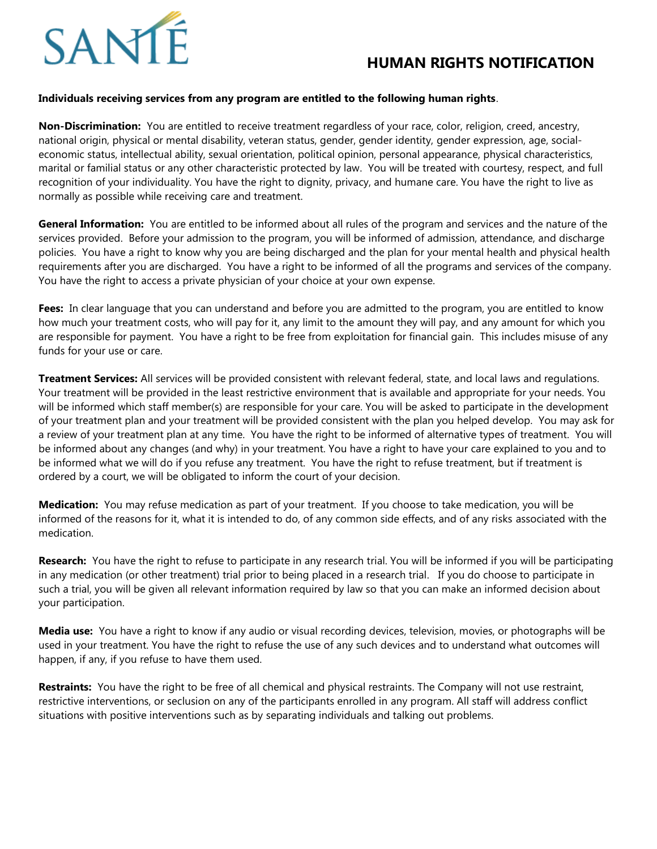# SAN

## **HUMAN RIGHTS NOTIFICATION**

#### **Individuals receiving services from any program are entitled to the following human rights**.

**Non-Discrimination:** You are entitled to receive treatment regardless of your race, color, religion, creed, ancestry, national origin, physical or mental disability, veteran status, gender, gender identity, gender expression, age, socialeconomic status, intellectual ability, sexual orientation, political opinion, personal appearance, physical characteristics, marital or familial status or any other characteristic protected by law. You will be treated with courtesy, respect, and full recognition of your individuality. You have the right to dignity, privacy, and humane care. You have the right to live as normally as possible while receiving care and treatment.

**General Information:** You are entitled to be informed about all rules of the program and services and the nature of the services provided. Before your admission to the program, you will be informed of admission, attendance, and discharge policies. You have a right to know why you are being discharged and the plan for your mental health and physical health requirements after you are discharged. You have a right to be informed of all the programs and services of the company. You have the right to access a private physician of your choice at your own expense.

**Fees:** In clear language that you can understand and before you are admitted to the program, you are entitled to know how much your treatment costs, who will pay for it, any limit to the amount they will pay, and any amount for which you are responsible for payment. You have a right to be free from exploitation for financial gain. This includes misuse of any funds for your use or care.

**Treatment Services:** All services will be provided consistent with relevant federal, state, and local laws and regulations. Your treatment will be provided in the least restrictive environment that is available and appropriate for your needs. You will be informed which staff member(s) are responsible for your care. You will be asked to participate in the development of your treatment plan and your treatment will be provided consistent with the plan you helped develop. You may ask for a review of your treatment plan at any time. You have the right to be informed of alternative types of treatment. You will be informed about any changes (and why) in your treatment. You have a right to have your care explained to you and to be informed what we will do if you refuse any treatment. You have the right to refuse treatment, but if treatment is ordered by a court, we will be obligated to inform the court of your decision.

**Medication:** You may refuse medication as part of your treatment. If you choose to take medication, you will be informed of the reasons for it, what it is intended to do, of any common side effects, and of any risks associated with the medication.

**Research:** You have the right to refuse to participate in any research trial. You will be informed if you will be participating in any medication (or other treatment) trial prior to being placed in a research trial. If you do choose to participate in such a trial, you will be given all relevant information required by law so that you can make an informed decision about your participation.

**Media use:** You have a right to know if any audio or visual recording devices, television, movies, or photographs will be used in your treatment. You have the right to refuse the use of any such devices and to understand what outcomes will happen, if any, if you refuse to have them used.

**Restraints:** You have the right to be free of all chemical and physical restraints. The Company will not use restraint, restrictive interventions, or seclusion on any of the participants enrolled in any program. All staff will address conflict situations with positive interventions such as by separating individuals and talking out problems.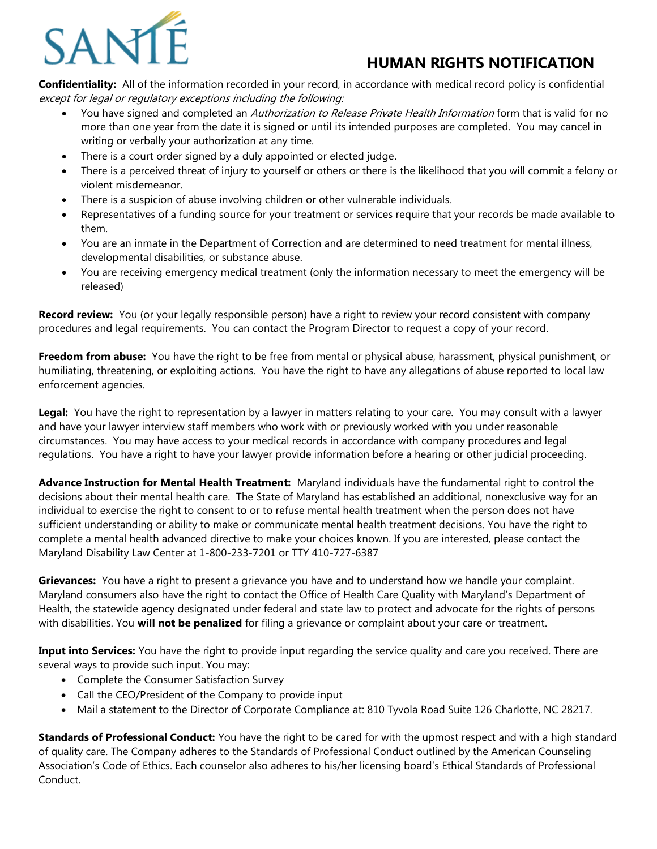

## **HUMAN RIGHTS NOTIFICATION**

**Confidentiality:** All of the information recorded in your record, in accordance with medical record policy is confidential except for legal or regulatory exceptions including the following:

- You have signed and completed an Authorization to Release Private Health Information form that is valid for no more than one year from the date it is signed or until its intended purposes are completed. You may cancel in writing or verbally your authorization at any time.
- There is a court order signed by a duly appointed or elected judge.
- There is a perceived threat of injury to yourself or others or there is the likelihood that you will commit a felony or violent misdemeanor.
- There is a suspicion of abuse involving children or other vulnerable individuals.
- Representatives of a funding source for your treatment or services require that your records be made available to them.
- You are an inmate in the Department of Correction and are determined to need treatment for mental illness, developmental disabilities, or substance abuse.
- You are receiving emergency medical treatment (only the information necessary to meet the emergency will be released)

**Record review:** You (or your legally responsible person) have a right to review your record consistent with company procedures and legal requirements. You can contact the Program Director to request a copy of your record.

**Freedom from abuse:** You have the right to be free from mental or physical abuse, harassment, physical punishment, or humiliating, threatening, or exploiting actions. You have the right to have any allegations of abuse reported to local law enforcement agencies.

**Legal:** You have the right to representation by a lawyer in matters relating to your care. You may consult with a lawyer and have your lawyer interview staff members who work with or previously worked with you under reasonable circumstances. You may have access to your medical records in accordance with company procedures and legal regulations. You have a right to have your lawyer provide information before a hearing or other judicial proceeding.

**Advance Instruction for Mental Health Treatment:** Maryland individuals have the fundamental right to control the decisions about their mental health care. The State of Maryland has established an additional, nonexclusive way for an individual to exercise the right to consent to or to refuse mental health treatment when the person does not have sufficient understanding or ability to make or communicate mental health treatment decisions. You have the right to complete a mental health advanced directive to make your choices known. If you are interested, please contact the Maryland Disability Law Center at 1-800-233-7201 or TTY 410-727-6387

**Grievances:** You have a right to present a grievance you have and to understand how we handle your complaint. Maryland consumers also have the right to contact the Office of Health Care Quality with Maryland's Department of Health, the statewide agency designated under federal and state law to protect and advocate for the rights of persons with disabilities. You **will not be penalized** for filing a grievance or complaint about your care or treatment.

**Input into Services:** You have the right to provide input regarding the service quality and care you received. There are several ways to provide such input. You may:

- Complete the Consumer Satisfaction Survey
- Call the CEO/President of the Company to provide input
- Mail a statement to the Director of Corporate Compliance at: 810 Tyvola Road Suite 126 Charlotte, NC 28217.

**Standards of Professional Conduct:** You have the right to be cared for with the upmost respect and with a high standard of quality care. The Company adheres to the Standards of Professional Conduct outlined by the American Counseling Association's Code of Ethics. Each counselor also adheres to his/her licensing board's Ethical Standards of Professional Conduct.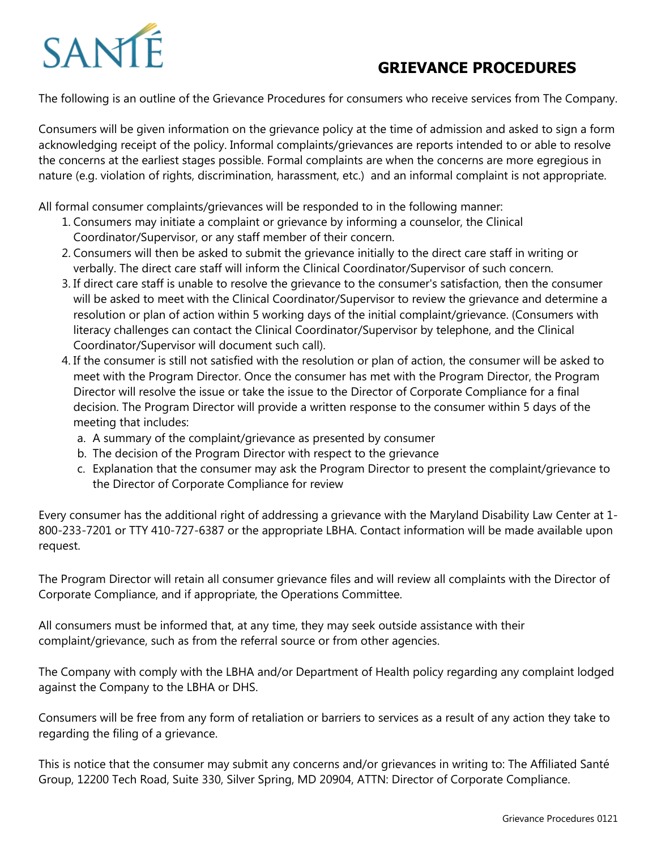## SANT

## **GRIEVANCE PROCEDURES**

The following is an outline of the Grievance Procedures for consumers who receive services from The Company.

Consumers will be given information on the grievance policy at the time of admission and asked to sign a form acknowledging receipt of the policy. Informal complaints/grievances are reports intended to or able to resolve the concerns at the earliest stages possible. Formal complaints are when the concerns are more egregious in nature (e.g. violation of rights, discrimination, harassment, etc.) and an informal complaint is not appropriate.

All formal consumer complaints/grievances will be responded to in the following manner:

- 1. Consumers may initiate a complaint or grievance by informing a counselor, the Clinical Coordinator/Supervisor, or any staff member of their concern.
- 2. Consumers will then be asked to submit the grievance initially to the direct care staff in writing or verbally. The direct care staff will inform the Clinical Coordinator/Supervisor of such concern.
- 3. If direct care staff is unable to resolve the grievance to the consumer's satisfaction, then the consumer will be asked to meet with the Clinical Coordinator/Supervisor to review the grievance and determine a resolution or plan of action within 5 working days of the initial complaint/grievance. (Consumers with literacy challenges can contact the Clinical Coordinator/Supervisor by telephone, and the Clinical Coordinator/Supervisor will document such call).
- 4. If the consumer is still not satisfied with the resolution or plan of action, the consumer will be asked to meet with the Program Director. Once the consumer has met with the Program Director, the Program Director will resolve the issue or take the issue to the Director of Corporate Compliance for a final decision. The Program Director will provide a written response to the consumer within 5 days of the meeting that includes:
	- a. A summary of the complaint/grievance as presented by consumer
	- b. The decision of the Program Director with respect to the grievance
	- c. Explanation that the consumer may ask the Program Director to present the complaint/grievance to the Director of Corporate Compliance for review

Every consumer has the additional right of addressing a grievance with the Maryland Disability Law Center at 1- 800-233-7201 or TTY 410-727-6387 or the appropriate LBHA. Contact information will be made available upon request.

The Program Director will retain all consumer grievance files and will review all complaints with the Director of Corporate Compliance, and if appropriate, the Operations Committee.

All consumers must be informed that, at any time, they may seek outside assistance with their complaint/grievance, such as from the referral source or from other agencies.

The Company with comply with the LBHA and/or Department of Health policy regarding any complaint lodged against the Company to the LBHA or DHS.

Consumers will be free from any form of retaliation or barriers to services as a result of any action they take to regarding the filing of a grievance.

This is notice that the consumer may submit any concerns and/or grievances in writing to: The Affiliated Santé Group, 12200 Tech Road, Suite 330, Silver Spring, MD 20904, ATTN: Director of Corporate Compliance.